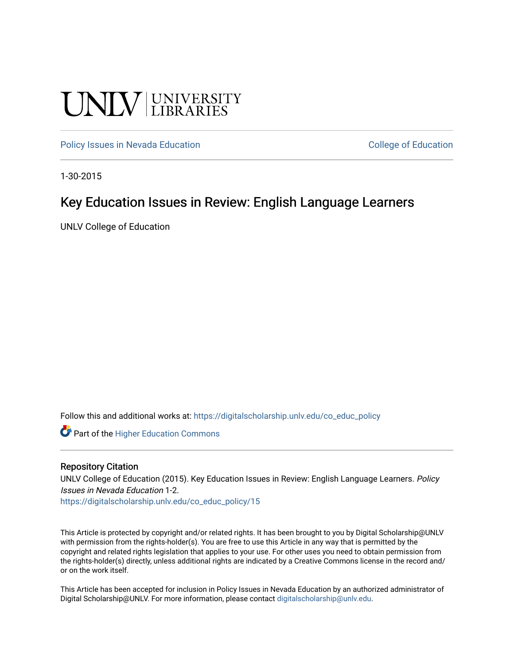# **UNIVERSITY**

[Policy Issues in Nevada Education](https://digitalscholarship.unlv.edu/co_educ_policy) **College of Education** College of Education

1-30-2015

#### Key Education Issues in Review: English Language Learners

UNLV College of Education

Follow this and additional works at: [https://digitalscholarship.unlv.edu/co\\_educ\\_policy](https://digitalscholarship.unlv.edu/co_educ_policy?utm_source=digitalscholarship.unlv.edu%2Fco_educ_policy%2F15&utm_medium=PDF&utm_campaign=PDFCoverPages)

**C** Part of the Higher Education Commons

#### Repository Citation

UNLV College of Education (2015). Key Education Issues in Review: English Language Learners. Policy Issues in Nevada Education 1-2.

[https://digitalscholarship.unlv.edu/co\\_educ\\_policy/15](https://digitalscholarship.unlv.edu/co_educ_policy/15) 

This Article is protected by copyright and/or related rights. It has been brought to you by Digital Scholarship@UNLV with permission from the rights-holder(s). You are free to use this Article in any way that is permitted by the copyright and related rights legislation that applies to your use. For other uses you need to obtain permission from the rights-holder(s) directly, unless additional rights are indicated by a Creative Commons license in the record and/ or on the work itself.

This Article has been accepted for inclusion in Policy Issues in Nevada Education by an authorized administrator of Digital Scholarship@UNLV. For more information, please contact [digitalscholarship@unlv.edu](mailto:digitalscholarship@unlv.edu).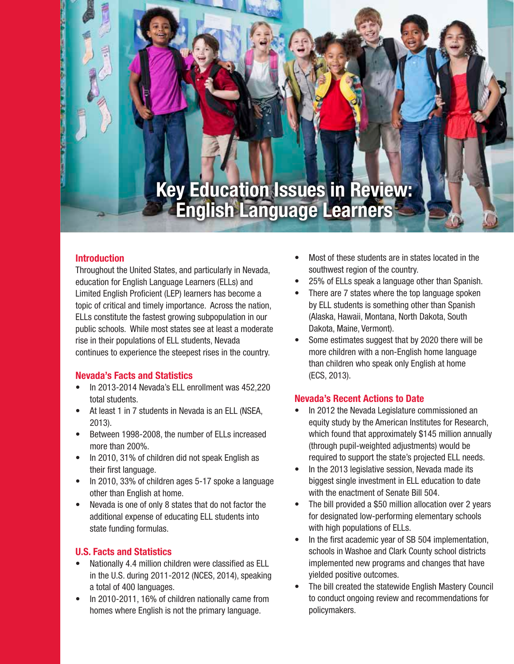## **Key Education Issues in Review: English Language Learners**

#### **Introduction**

Zammund and Communication and Communication and Communication

Throughout the United States, and particularly in Nevada, education for English Language Learners (ELLs) and Limited English Proficient (LEP) learners has become a topic of critical and timely importance. Across the nation, ELLs constitute the fastest growing subpopulation in our public schools. While most states see at least a moderate rise in their populations of ELL students, Nevada continues to experience the steepest rises in the country.

#### **Nevada's Facts and Statistics**

- In 2013-2014 Nevada's ELL enrollment was 452,220 total students.
- At least 1 in 7 students in Nevada is an ELL (NSEA, 2013).
- Between 1998-2008, the number of ELLs increased more than 200%.
- In 2010, 31% of children did not speak English as their first language.
- In 2010, 33% of children ages 5-17 spoke a language other than English at home.
- Nevada is one of only 8 states that do not factor the additional expense of educating ELL students into state funding formulas.

#### **U.S. Facts and Statistics**

- Nationally 4.4 million children were classified as ELL in the U.S. during 2011-2012 (NCES, 2014), speaking a total of 400 languages.
- In 2010-2011, 16% of children nationally came from homes where English is not the primary language.
- Most of these students are in states located in the southwest region of the country.
- 25% of ELLs speak a language other than Spanish.
- There are 7 states where the top language spoken by ELL students is something other than Spanish (Alaska, Hawaii, Montana, North Dakota, South Dakota, Maine, Vermont).
- Some estimates suggest that by 2020 there will be more children with a non-English home language than children who speak only English at home (ECS, 2013).

#### **Nevada's Recent Actions to Date**

- In 2012 the Nevada Legislature commissioned an equity study by the American Institutes for Research, which found that approximately \$145 million annually (through pupil-weighted adjustments) would be required to support the state's projected ELL needs.
- In the 2013 legislative session, Nevada made its biggest single investment in ELL education to date with the enactment of Senate Bill 504.
- The bill provided a \$50 million allocation over 2 years for designated low-performing elementary schools with high populations of ELLs.
- In the first academic year of SB 504 implementation, schools in Washoe and Clark County school districts implemented new programs and changes that have yielded positive outcomes.
- The bill created the statewide English Mastery Council to conduct ongoing review and recommendations for policymakers.